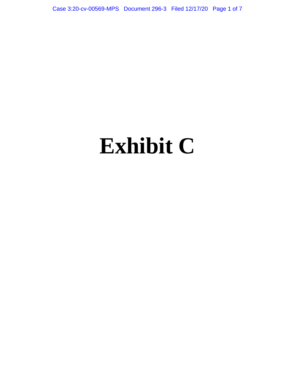Case 3:20-cv-00569-MPS Document 296-3 Filed 12/17/20 Page 1 of 7

# **Exhibit C**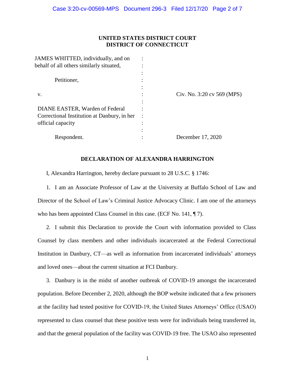# **UNITED STATES DISTRICT COURT DISTRICT OF CONNECTICUT**

| JAMES WHITTED, individually, and on         |   |                            |
|---------------------------------------------|---|----------------------------|
| behalf of all others similarly situated,    |   |                            |
|                                             |   |                            |
| Petitioner,                                 |   |                            |
|                                             |   |                            |
| V.                                          |   | Civ. No. 3:20 cv 569 (MPS) |
|                                             |   |                            |
| DIANE EASTER, Warden of Federal             |   |                            |
| Correctional Institution at Danbury, in her |   |                            |
| official capacity                           | ٠ |                            |
|                                             |   |                            |
| Respondent.                                 |   | December 17, 2020          |
|                                             |   |                            |

# **DECLARATION OF ALEXANDRA HARRINGTON**

I, Alexandra Harrington, hereby declare pursuant to 28 U.S.C. § 1746:

1. I am an Associate Professor of Law at the University at Buffalo School of Law and Director of the School of Law's Criminal Justice Advocacy Clinic. I am one of the attorneys who has been appointed Class Counsel in this case. (ECF No. 141, ¶ 7).

2. I submit this Declaration to provide the Court with information provided to Class Counsel by class members and other individuals incarcerated at the Federal Correctional Institution in Danbury, CT—as well as information from incarcerated individuals' attorneys and loved ones—about the current situation at FCI Danbury.

3. Danbury is in the midst of another outbreak of COVID-19 amongst the incarcerated population. Before December 2, 2020, although the BOP website indicated that a few prisoners at the facility had tested positive for COVID-19, the United States Attorneys' Office (USAO) represented to class counsel that these positive tests were for individuals being transferred in, and that the general population of the facility was COVID-19 free. The USAO also represented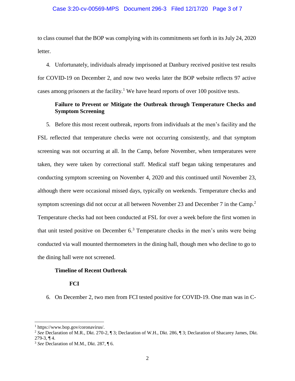## Case 3:20-cv-00569-MPS Document 296-3 Filed 12/17/20 Page 3 of 7

to class counsel that the BOP was complying with its commitments set forth in its July 24, 2020 letter.

4. Unfortunately, individuals already imprisoned at Danbury received positive test results for COVID-19 on December 2, and now two weeks later the BOP website reflects 97 active cases among prisoners at the facility.<sup>1</sup> We have heard reports of over 100 positive tests.

# **Failure to Prevent or Mitigate the Outbreak through Temperature Checks and Symptom Screening**

5. Before this most recent outbreak, reports from individuals at the men's facility and the FSL reflected that temperature checks were not occurring consistently, and that symptom screening was not occurring at all. In the Camp, before November, when temperatures were taken, they were taken by correctional staff. Medical staff began taking temperatures and conducting symptom screening on November 4, 2020 and this continued until November 23, although there were occasional missed days, typically on weekends. Temperature checks and symptom screenings did not occur at all between November 23 and December 7 in the Camp.<sup>2</sup> Temperature checks had not been conducted at FSL for over a week before the first women in that unit tested positive on December  $6<sup>3</sup>$  Temperature checks in the men's units were being conducted via wall mounted thermometers in the dining hall, though men who decline to go to the dining hall were not screened.

## **Timeline of Recent Outbreak**

# **FCI**

6. On December 2, two men from FCI tested positive for COVID-19. One man was in C-

l

<sup>1</sup> https://www.bop.gov/coronavirus/.

<sup>2</sup> *See* Declaration of M.R., Dkt. 270-2, ¶ 3; Declaration of W.H., Dkt. 286, ¶ 3; Declaration of Shacarey James, Dkt. 279-3, ¶ 4.

<sup>3</sup> *See* Declaration of M.M., Dkt. 287, ¶ 6.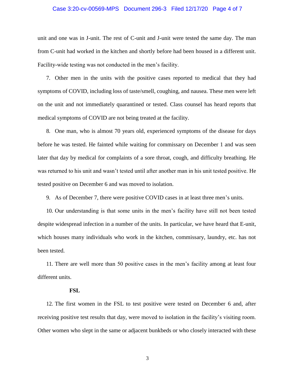#### Case 3:20-cv-00569-MPS Document 296-3 Filed 12/17/20 Page 4 of 7

unit and one was in J-unit. The rest of C-unit and J-unit were tested the same day. The man from C-unit had worked in the kitchen and shortly before had been housed in a different unit. Facility-wide testing was not conducted in the men's facility.

7. Other men in the units with the positive cases reported to medical that they had symptoms of COVID, including loss of taste/smell, coughing, and nausea. These men were left on the unit and not immediately quarantined or tested. Class counsel has heard reports that medical symptoms of COVID are not being treated at the facility.

8. One man, who is almost 70 years old, experienced symptoms of the disease for days before he was tested. He fainted while waiting for commissary on December 1 and was seen later that day by medical for complaints of a sore throat, cough, and difficulty breathing. He was returned to his unit and wasn't tested until after another man in his unit tested positive. He tested positive on December 6 and was moved to isolation.

9. As of December 7, there were positive COVID cases in at least three men's units.

10. Our understanding is that some units in the men's facility have still not been tested despite widespread infection in a number of the units. In particular, we have heard that E-unit, which houses many individuals who work in the kitchen, commissary, laundry, etc. has not been tested.

11. There are well more than 50 positive cases in the men's facility among at least four different units.

# **FSL**

12. The first women in the FSL to test positive were tested on December 6 and, after receiving positive test results that day, were moved to isolation in the facility's visiting room. Other women who slept in the same or adjacent bunkbeds or who closely interacted with these

3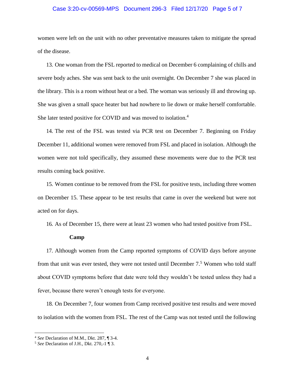# Case 3:20-cv-00569-MPS Document 296-3 Filed 12/17/20 Page 5 of 7

women were left on the unit with no other preventative measures taken to mitigate the spread of the disease.

13. One woman from the FSL reported to medical on December 6 complaining of chills and severe body aches. She was sent back to the unit overnight. On December 7 she was placed in the library. This is a room without heat or a bed. The woman was seriously ill and throwing up. She was given a small space heater but had nowhere to lie down or make herself comfortable. She later tested positive for COVID and was moved to isolation.<sup>4</sup>

14. The rest of the FSL was tested via PCR test on December 7. Beginning on Friday December 11, additional women were removed from FSL and placed in isolation. Although the women were not told specifically, they assumed these movements were due to the PCR test results coming back positive.

15. Women continue to be removed from the FSL for positive tests, including three women on December 15. These appear to be test results that came in over the weekend but were not acted on for days.

16. As of December 15, there were at least 23 women who had tested positive from FSL.

#### **Camp**

17. Although women from the Camp reported symptoms of COVID days before anyone from that unit was ever tested, they were not tested until December  $7<sup>5</sup>$  Women who told staff about COVID symptoms before that date were told they wouldn't be tested unless they had a fever, because there weren't enough tests for everyone.

18. On December 7, four women from Camp received positive test results and were moved to isolation with the women from FSL. The rest of the Camp was not tested until the following

 $\overline{\phantom{a}}$ 

<sup>4</sup> *See* Declaration of M.M., Dkt. 287, ¶ 3-4.

<sup>5</sup> *See* Declaration of J.H., Dkt. 270,-1 ¶ 3.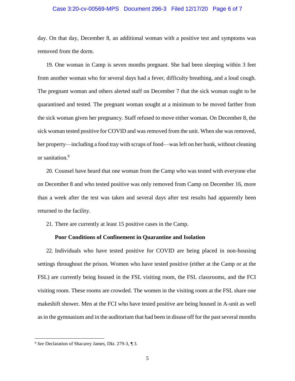## Case 3:20-cv-00569-MPS Document 296-3 Filed 12/17/20 Page 6 of 7

day. On that day, December 8, an additional woman with a positive test and symptoms was removed from the dorm.

19. One woman in Camp is seven months pregnant. She had been sleeping within 3 feet from another woman who for several days had a fever, difficulty breathing, and a loud cough. The pregnant woman and others alerted staff on December 7 that the sick woman ought to be quarantined and tested. The pregnant woman sought at a minimum to be moved farther from the sick woman given her pregnancy. Staff refused to move either woman. On December 8, the sick woman tested positive for COVID and was removed from the unit. When she was removed, her property—including a food tray with scraps of food—was left on her bunk, without cleaning or sanitation.<sup>6</sup>

20. Counsel have heard that one woman from the Camp who was tested with everyone else on December 8 and who tested positive was only removed from Camp on December 16, more than a week after the test was taken and several days after test results had apparently been returned to the facility.

21. There are currently at least 15 positive cases in the Camp.

#### **Poor Conditions of Confinement in Quarantine and Isolation**

22. Individuals who have tested positive for COVID are being placed in non-housing settings throughout the prison. Women who have tested positive (either at the Camp or at the FSL) are currently being housed in the FSL visiting room, the FSL classrooms, and the FCI visiting room. These rooms are crowded. The women in the visiting room at the FSL share one makeshift shower. Men at the FCI who have tested positive are being housed in A-unit as well as in the gymnasium and in the auditorium that had been in disuse off for the past several months

l

<sup>6</sup> *See* Declaration of Shacarey James, Dkt. 279-3, ¶ 3.